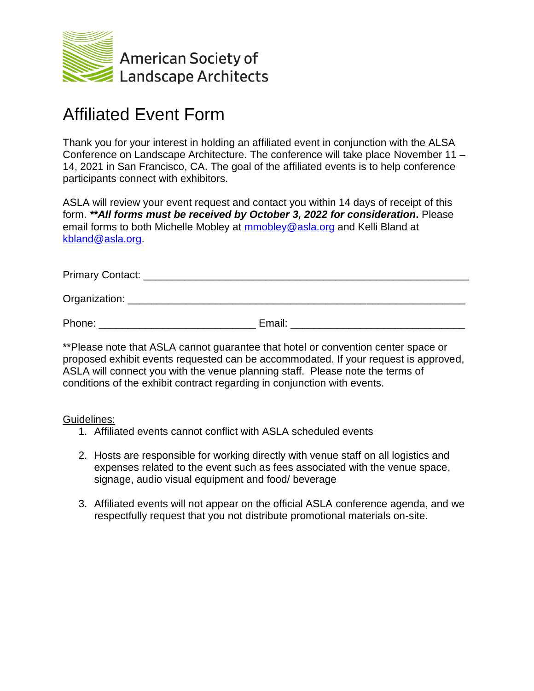

## Affiliated Event Form

Thank you for your interest in holding an affiliated event in conjunction with the ALSA Conference on Landscape Architecture. The conference will take place November 11 – 14, 2021 in San Francisco, CA. The goal of the affiliated events is to help conference participants connect with exhibitors.

ASLA will review your event request and contact you within 14 days of receipt of this form. *\*\*All forms must be received by October 3, 2022 for consideration***.** Please email forms to both Michelle Mobley at [mmobley@asla.org](mailto:mmobley@asla.org) and Kelli Bland at [kbland@asla.org.](mailto:kbland@asla.org)

Primary Contact: \_\_\_\_\_\_\_\_\_\_\_\_\_\_\_\_\_\_\_\_\_\_\_\_\_\_\_\_\_\_\_\_\_\_\_\_\_\_\_\_\_\_\_\_\_\_\_\_\_\_\_\_\_\_\_\_

Organization: **with the contract of the contract of the contract of the contract of the contract of the contract of the contract of the contract of the contract of the contract of the contract of the contract of the contra** 

Phone: The contract of the Email:  $E$  Email:  $E$  and  $E$  and  $E$  and  $E$  and  $E$  and  $E$  and  $E$  and  $E$  and  $E$  and  $E$  and  $E$  and  $E$  and  $E$  and  $E$  and  $E$  and  $E$  and  $E$  and  $E$  and  $E$  and  $E$  and  $E$  and  $E$  and

\*\*Please note that ASLA cannot guarantee that hotel or convention center space or proposed exhibit events requested can be accommodated. If your request is approved, ASLA will connect you with the venue planning staff. Please note the terms of conditions of the exhibit contract regarding in conjunction with events.

Guidelines:

- 1. Affiliated events cannot conflict with ASLA scheduled events
- 2. Hosts are responsible for working directly with venue staff on all logistics and expenses related to the event such as fees associated with the venue space, signage, audio visual equipment and food/ beverage
- 3. Affiliated events will not appear on the official ASLA conference agenda, and we respectfully request that you not distribute promotional materials on-site.